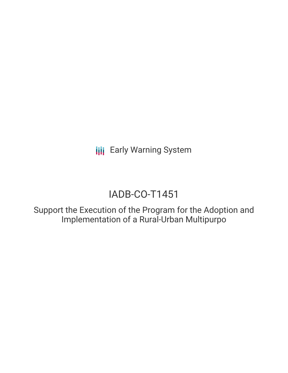**III** Early Warning System

# IADB-CO-T1451

Support the Execution of the Program for the Adoption and Implementation of a Rural-Urban Multipurpo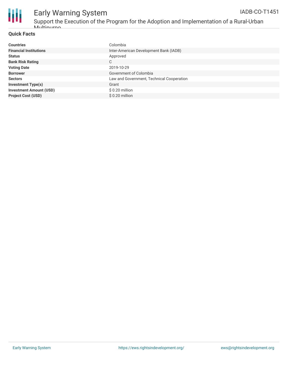

#### Early Warning System Support the Execution of the Program for the Adoption and Implementation of a Rural-Urban Multipurpo IADB-CO-T1451

| <b>Countries</b>               | Colombia                                  |
|--------------------------------|-------------------------------------------|
| <b>Financial Institutions</b>  | Inter-American Development Bank (IADB)    |
| <b>Status</b>                  | Approved                                  |
| <b>Bank Risk Rating</b>        | C                                         |
| <b>Voting Date</b>             | 2019-10-29                                |
| <b>Borrower</b>                | Government of Colombia                    |
| <b>Sectors</b>                 | Law and Government, Technical Cooperation |
| <b>Investment Type(s)</b>      | Grant                                     |
| <b>Investment Amount (USD)</b> | \$ 0.20 million                           |
| <b>Project Cost (USD)</b>      | $$0.20$ million                           |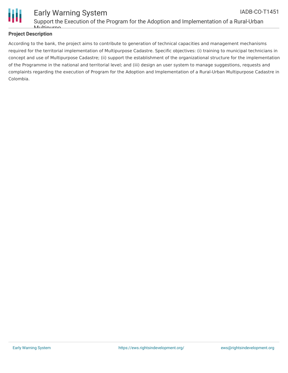

#### Early Warning System Support the Execution of the Program for the Adoption and Implementation of a Rural-Urban Multipurpo IADB-CO-T1451

### **Project Description**

According to the bank, the project aims to contribute to generation of technical capacities and management mechanisms required for the territorial implementation of Multipurpose Cadastre. Specific objectives: (i) training to municipal technicians in concept and use of Multipurpose Cadastre; (ii) support the establishment of the organizational structure for the implementation of the Programme in the national and territorial level; and (iii) design an user system to manage suggestions, requests and complaints regarding the execution of Program for the Adoption and Implementation of a Rural-Urban Multipurpose Cadastre in Colombia.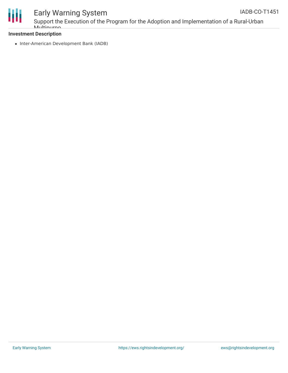

## Early Warning System

Support the Execution of the Program for the Adoption and Implementation of a Rural-Urban Multipurpo

#### **Investment Description**

• Inter-American Development Bank (IADB)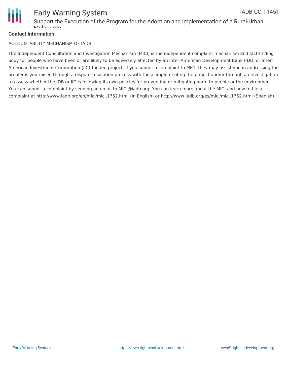

### **Contact Information**

#### ACCOUNTABILITY MECHANISM OF IADB

The Independent Consultation and Investigation Mechanism (MICI) is the independent complaint mechanism and fact-finding body for people who have been or are likely to be adversely affected by an Inter-American Development Bank (IDB) or Inter-American Investment Corporation (IIC)-funded project. If you submit a complaint to MICI, they may assist you in addressing the problems you raised through a dispute-resolution process with those implementing the project and/or through an investigation to assess whether the IDB or IIC is following its own policies for preventing or mitigating harm to people or the environment. You can submit a complaint by sending an email to MICI@iadb.org. You can learn more about the MICI and how to file a complaint at http://www.iadb.org/en/mici/mici,1752.html (in English) or http://www.iadb.org/es/mici/mici,1752.html (Spanish).